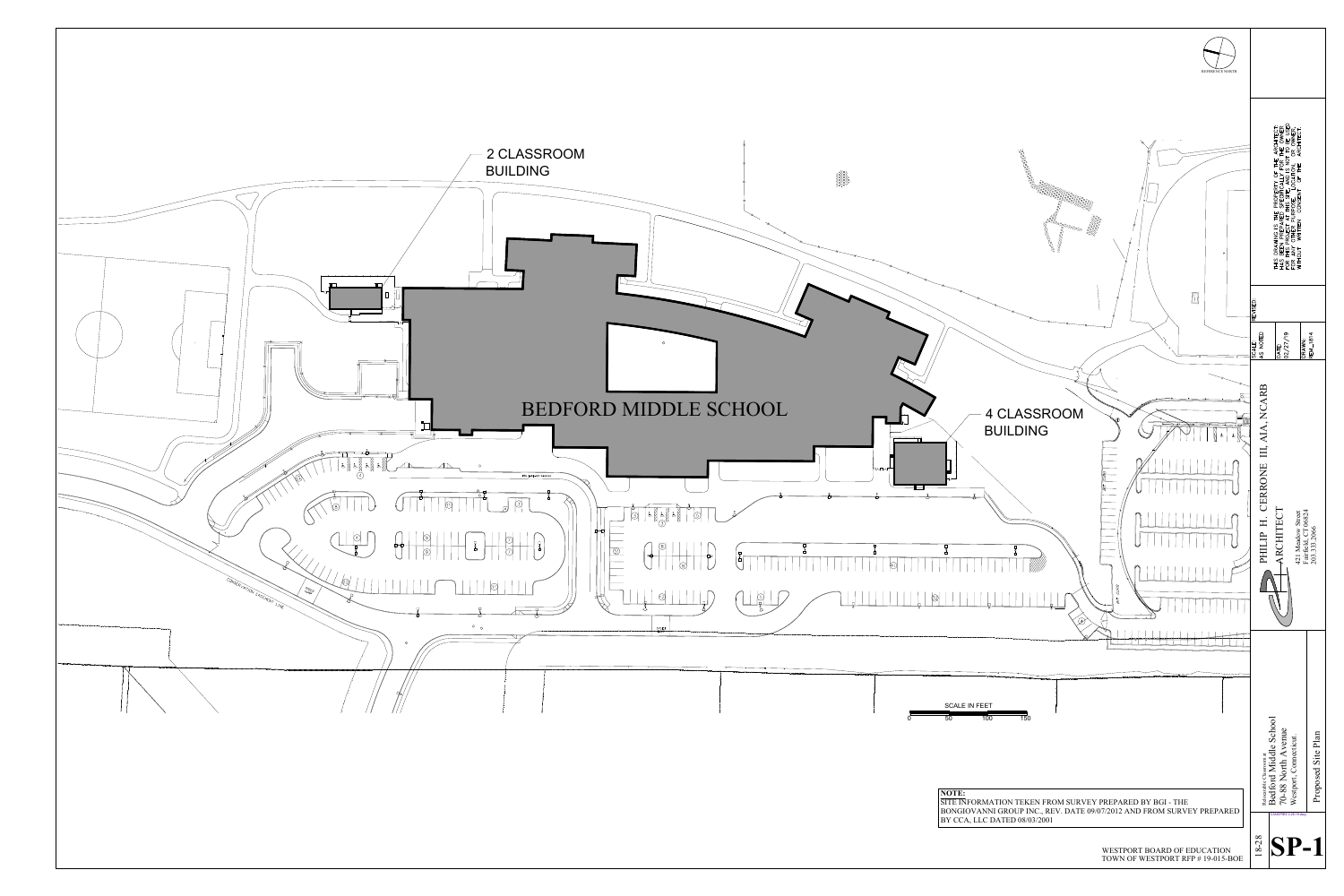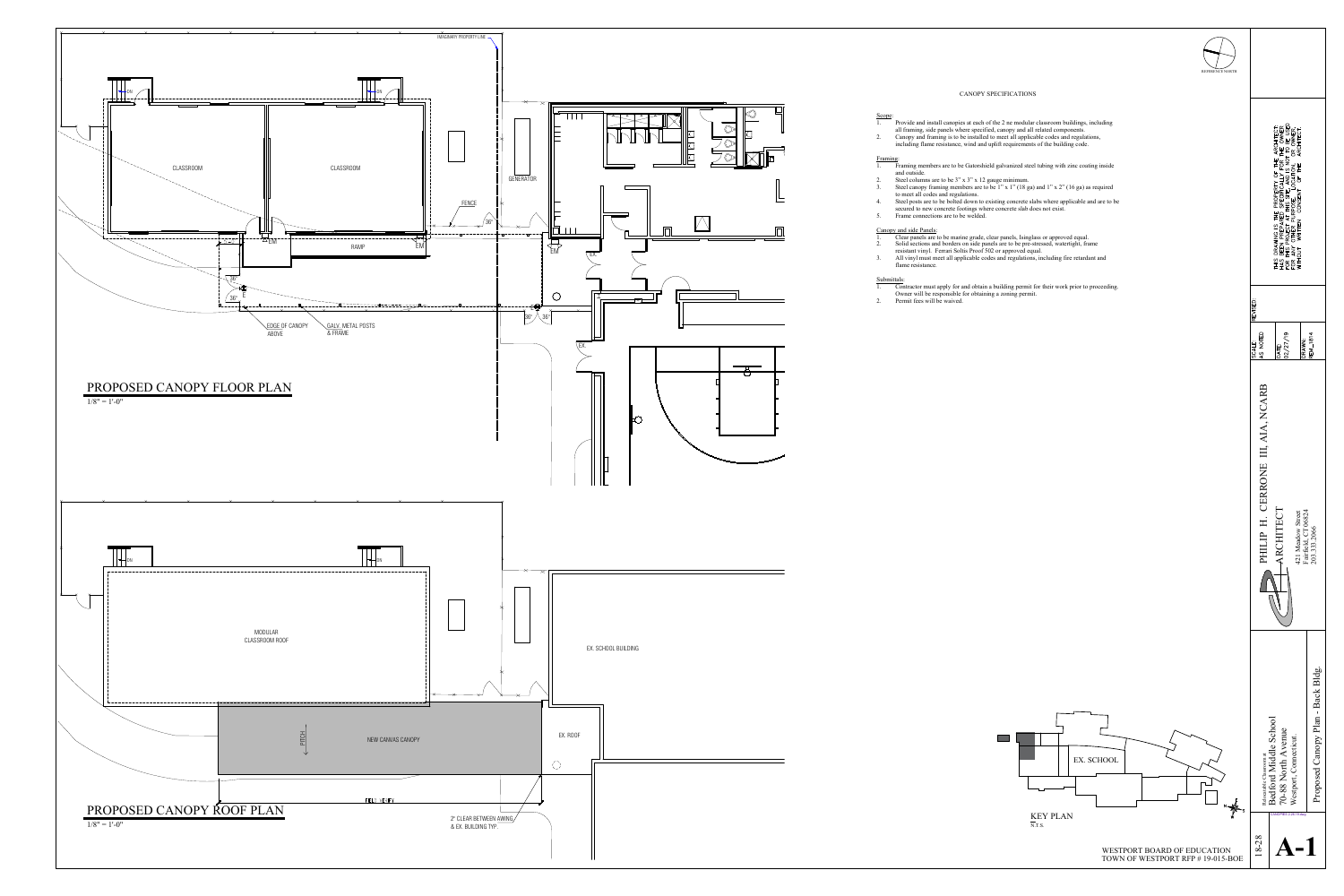![](_page_1_Figure_20.jpeg)

REFERENCE NORTH

THIS DRAWING IS THE PROPERTY OF THE ARCHITECT:<br>HAS BEEN PREPARED SPECIFICALLY FOR THE OWNER<br>FOR THIS PROJECT AT THIS SITE, AND IS NOT TO BE USED<br>FOR ANY OTHER PURPOSE, LOCATION, OR OWNER,<br>WITHOUT WRITTEN CONSENT OF THE ARC

 $\overline{\mathbf{Q}}$ 

)ATE:<br>12/27,

j n

TOWN OF WESTPORT RFP # 19-015-BOE

![](_page_1_Figure_0.jpeg)

# Scope: Framing: and outside.

## CANOPY SPECIFICATIONS

1. Provide and install canopies at each of the 2 ne modular classroom buildings, including all framing, side panels where specified, canopy and all related components. 2. Canopy and framing is to be installed to meet all applicable codes and regulations, including flame resistance, wind and uplift requirements of the building code.

1. Framing members are to be Gatorshield galvanized steel tubing with zinc coating inside

2. Steel columns are to be 3" x 3" x 12 gauge minimum.

3. Steel canopy framing members are to be 1" x 1" (18 ga) and 1" x 2" (16 ga) as required to meet all codes and regulations.

4. Steel posts are to be bolted down to existing concrete slabs where applicable and are to be secured to new concrete footings where concrete slab does not exist. 5. Frame connections are to be welded.

# Canopy and side Panels:

1. Clear panels are to be marine grade, clear panels, Isinglass or approved equal.

2. Solid sections and borders on side panels are to be pre-stressed, watertight, frame resistant vinyl. Ferrari Soltis Proof 502 or approved equal.

3. All vinyl must meet all applicable codes and regulations, including fire retardant and

- 
- flame resistance.

## Submittals:

1. Contractor must apply for and obtain a building permit for their work prior to proceeding. Owner will be responsible for obtaining a zoning permit.

- 
- 2. Permit fees will be waived.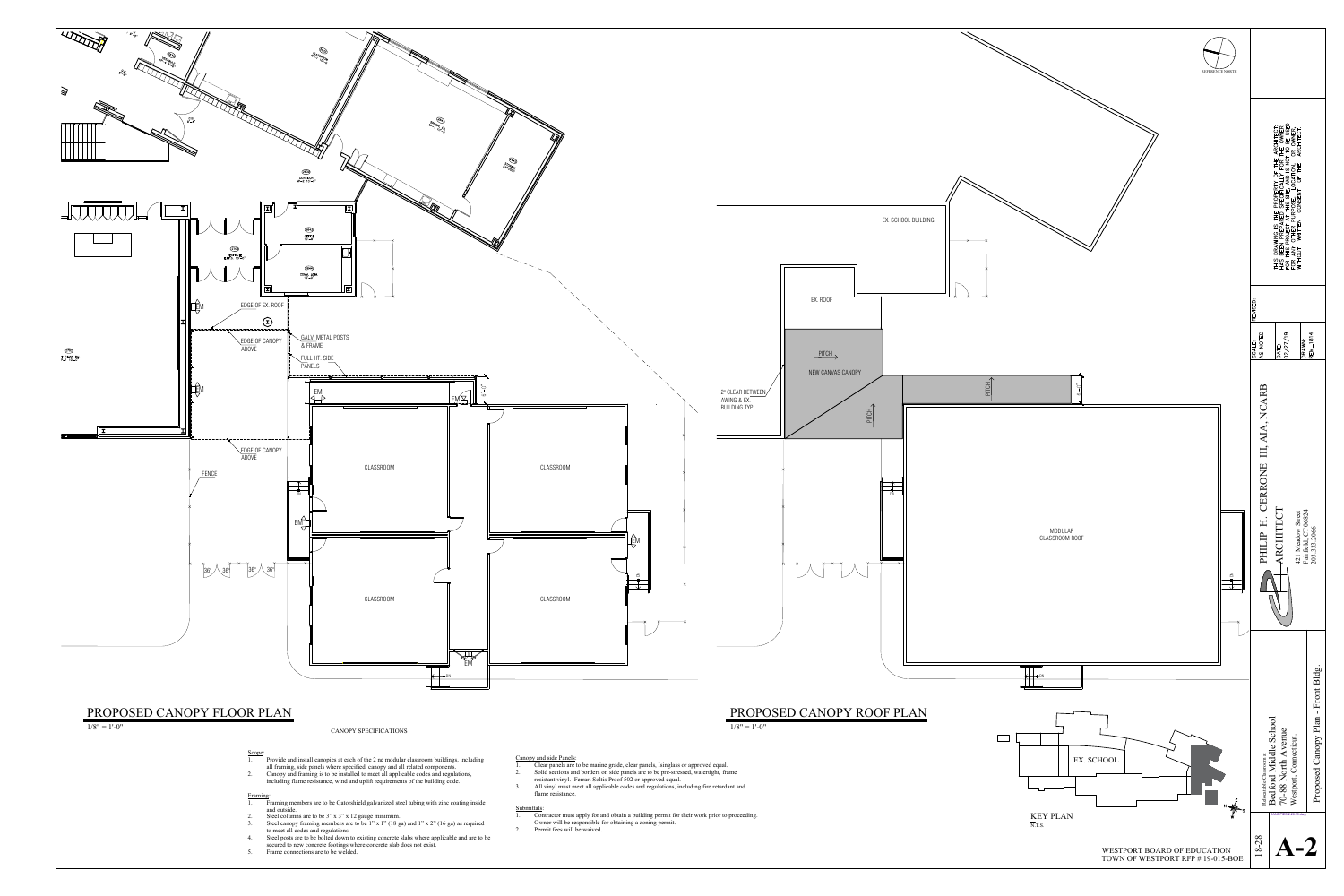![](_page_2_Figure_0.jpeg)

- 
- 
- 
- 
- 
- 
- 
- 
- 
- 

- 
- 
- 
-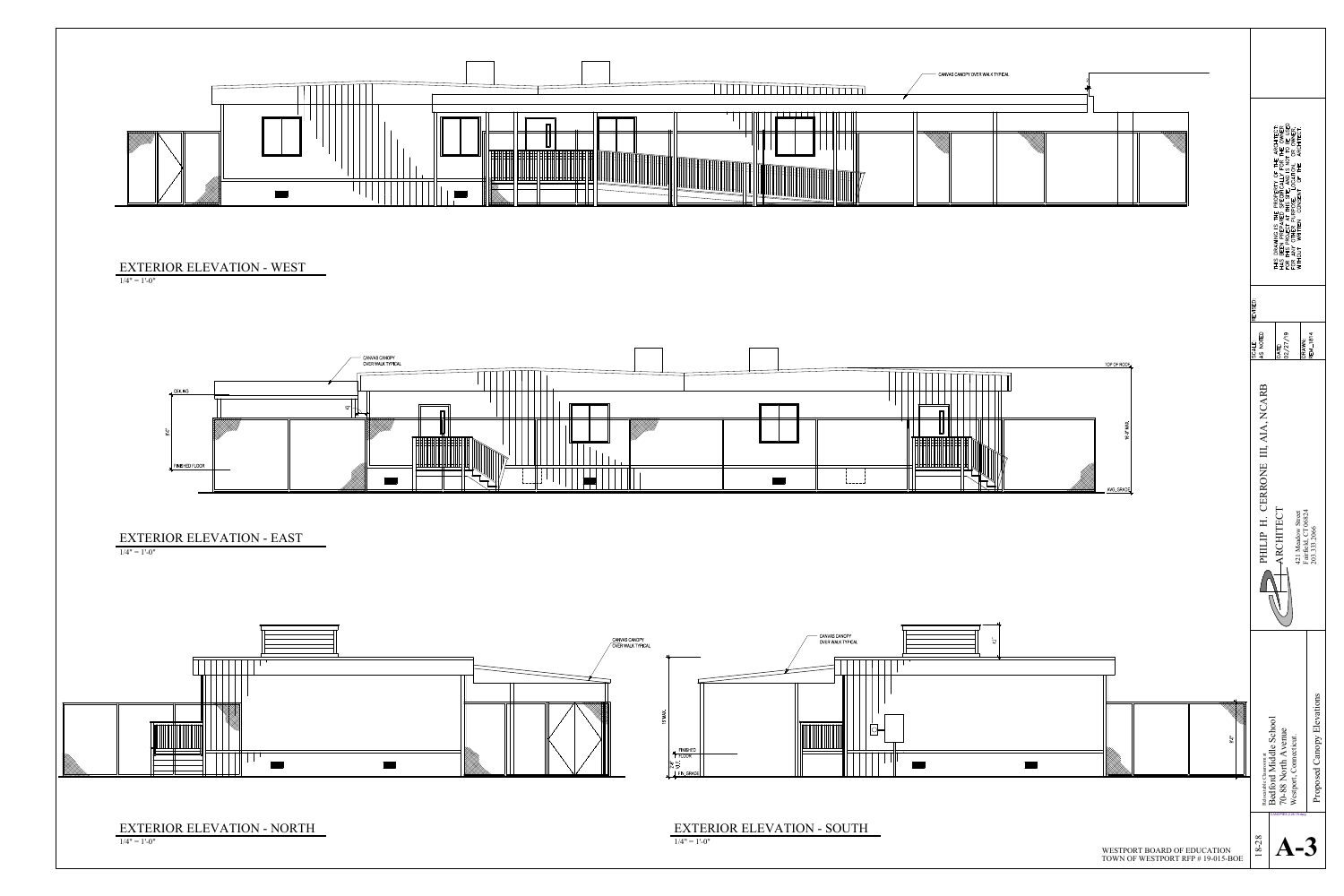![](_page_3_Figure_0.jpeg)